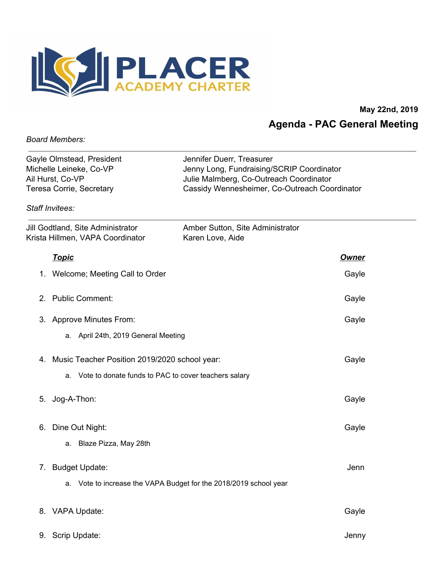

**May 22nd, 2019 Agenda - PAC General Meeting**

*Board Members:*

| Gayle Olmstead, President | Jennifer Duerr, Treasurer                     |
|---------------------------|-----------------------------------------------|
| Michelle Leineke, Co-VP   | Jenny Long, Fundraising/SCRIP Coordinator     |
| Ail Hurst, Co-VP          | Julie Malmberg, Co-Outreach Coordinator       |
| Teresa Corrie, Secretary  | Cassidy Wennesheimer, Co-Outreach Coordinator |
| Staff Invitees:           |                                               |

| Jill Godtland, Site Administrator<br>Krista Hillmen, VAPA Coordinator | Amber Sutton, Site Administrator<br>Karen Love, Aide           |              |
|-----------------------------------------------------------------------|----------------------------------------------------------------|--------------|
| <u>Topic</u>                                                          |                                                                | <u>Owner</u> |
| 1. Welcome; Meeting Call to Order                                     |                                                                | Gayle        |
| <b>Public Comment:</b><br>2 <sub>1</sub>                              |                                                                | Gayle        |
| 3. Approve Minutes From:                                              |                                                                | Gayle        |
| a. April 24th, 2019 General Meeting                                   |                                                                |              |
| 4. Music Teacher Position 2019/2020 school year:                      |                                                                | Gayle        |
|                                                                       | a. Vote to donate funds to PAC to cover teachers salary        |              |
| Jog-A-Thon:<br>5.                                                     |                                                                | Gayle        |
| Dine Out Night:<br>6.                                                 |                                                                | Gayle        |
| Blaze Pizza, May 28th<br>а.                                           |                                                                |              |
| <b>Budget Update:</b><br>7.                                           |                                                                | Jenn         |
| a.                                                                    | Vote to increase the VAPA Budget for the 2018/2019 school year |              |
| 8. VAPA Update:                                                       |                                                                | Gayle        |
| 9. Scrip Update:                                                      |                                                                | Jenny        |